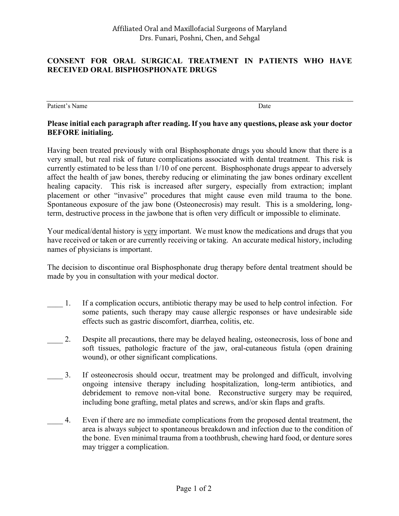## **CONSENT FOR ORAL SURGICAL TREATMENT IN PATIENTS WHO HAVE RECEIVED ORAL BISPHOSPHONATE DRUGS**

Patient's Name Date by Name Date and the Date of the Date of the Date of the Date of the Date of the Date of the Date of the Date of the Date of the Date of the Date of the Date of the Date of the Date of the Date of the D

## **Please initial each paragraph after reading. If you have any questions, please ask your doctor BEFORE initialing.**

Having been treated previously with oral Bisphosphonate drugs you should know that there is a very small, but real risk of future complications associated with dental treatment. This risk is currently estimated to be less than 1/10 of one percent. Bisphosphonate drugs appear to adversely affect the health of jaw bones, thereby reducing or eliminating the jaw bones ordinary excellent healing capacity. This risk is increased after surgery, especially from extraction; implant placement or other "invasive" procedures that might cause even mild trauma to the bone. Spontaneous exposure of the jaw bone (Osteonecrosis) may result. This is a smoldering, longterm, destructive process in the jawbone that is often very difficult or impossible to eliminate.

Your medical/dental history is very important. We must know the medications and drugs that you have received or taken or are currently receiving or taking. An accurate medical history, including names of physicians is important.

The decision to discontinue oral Bisphosphonate drug therapy before dental treatment should be made by you in consultation with your medical doctor.

- \_\_\_\_ 1. If a complication occurs, antibiotic therapy may be used to help control infection. For some patients, such therapy may cause allergic responses or have undesirable side effects such as gastric discomfort, diarrhea, colitis, etc.
- \_\_\_\_ 2. Despite all precautions, there may be delayed healing, osteonecrosis, loss of bone and soft tissues, pathologic fracture of the jaw, oral-cutaneous fistula (open draining wound), or other significant complications.
- 3. If osteonecrosis should occur, treatment may be prolonged and difficult, involving ongoing intensive therapy including hospitalization, long-term antibiotics, and debridement to remove non-vital bone. Reconstructive surgery may be required, including bone grafting, metal plates and screws, and/or skin flaps and grafts.
- \_\_\_\_ 4. Even if there are no immediate complications from the proposed dental treatment, the area is always subject to spontaneous breakdown and infection due to the condition of the bone. Even minimal trauma from a toothbrush, chewing hard food, or denture sores may trigger a complication.